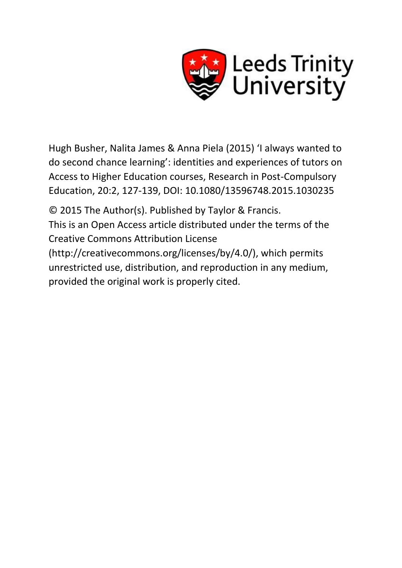

Hugh Busher, Nalita James & Anna Piela (2015) 'I always wanted to do second chance learning': identities and experiences of tutors on Access to Higher Education courses, Research in Post-Compulsory Education, 20:2, 127-139, DOI: 10.1080/13596748.2015.1030235

© 2015 The Author(s). Published by Taylor & Francis. This is an Open Access article distributed under the terms of the Creative Commons Attribution License

(http://creativecommons.org/licenses/by/4.0/), which permits unrestricted use, distribution, and reproduction in any medium, provided the original work is properly cited.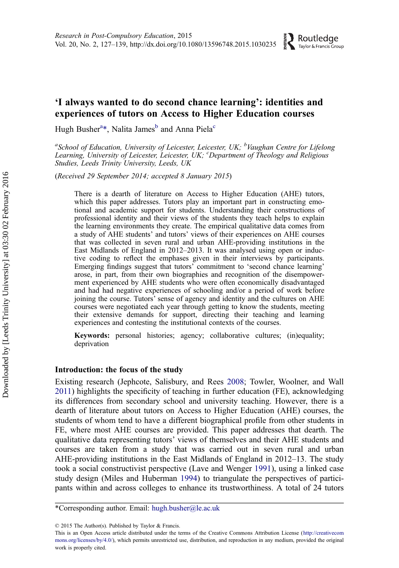# 'I always wanted to do second chance learning': identities and experiences of tutors on Access to Higher Education courses

 $\sum_{\substack{\mathbf{g}\in \mathbf{g} \\ \mathbf{g} \\ \mathbf{g}}} \sum_{\mathsf{Taylor\&\ Francis\ Group}}$ 

Hugh Busher<sup>a\*</sup>, Nalita James<sup>b</sup> and Anna Piela<sup>c</sup>

<sup>a</sup>School of Education, University of Leicester, Leicester, UK; <sup>b</sup>Vaughan Centre for Lifelong Learning, University of Leicester, Leicester, UK; <sup>c</sup>Department of Theology and Religious Studies, Leeds Trinity University, Leeds, UK

(Received 29 September 2014; accepted 8 January 2015)

There is a dearth of literature on Access to Higher Education (AHE) tutors, which this paper addresses. Tutors play an important part in constructing emotional and academic support for students. Understanding their constructions of professional identity and their views of the students they teach helps to explain the learning environments they create. The empirical qualitative data comes from a study of AHE students' and tutors' views of their experiences on AHE courses that was collected in seven rural and urban AHE-providing institutions in the East Midlands of England in 2012–2013. It was analysed using open or inductive coding to reflect the emphases given in their interviews by participants. Emerging findings suggest that tutors' commitment to 'second chance learning' arose, in part, from their own biographies and recognition of the disempowerment experienced by AHE students who were often economically disadvantaged and had had negative experiences of schooling and/or a period of work before joining the course. Tutors' sense of agency and identity and the cultures on AHE courses were negotiated each year through getting to know the students, meeting their extensive demands for support, directing their teaching and learning experiences and contesting the institutional contexts of the courses.

Keywords: personal histories; agency; collaborative cultures; (in)equality; deprivation

# Introduction: the focus of the study

Existing research (Jephcote, Salisbury, and Rees [2008;](#page-13-0) Towler, Woolner, and Wall [2011\)](#page-13-0) highlights the specificity of teaching in further education (FE), acknowledging its differences from secondary school and university teaching. However, there is a dearth of literature about tutors on Access to Higher Education (AHE) courses, the students of whom tend to have a different biographical profile from other students in FE, where most AHE courses are provided. This paper addresses that dearth. The qualitative data representing tutors' views of themselves and their AHE students and courses are taken from a study that was carried out in seven rural and urban AHE-providing institutions in the East Midlands of England in 2012–13. The study took a social constructivist perspective (Lave and Wenger [1991\)](#page-13-0), using a linked case study design (Miles and Huberman [1994](#page-13-0)) to triangulate the perspectives of participants within and across colleges to enhance its trustworthiness. A total of 24 tutors

<sup>\*</sup>Corresponding author. Email: [hugh.busher@le.ac.uk](mailto:hugh.busher@le.ac.uk)

<sup>© 2015</sup> The Author(s). Published by Taylor & Francis.

This is an Open Access article distributed under the terms of the Creative Commons Attribution License ([http://creativecom](http://creativecommons.org/licenses/by/4.0/) [mons.org/licenses/by/4.0/](http://creativecommons.org/licenses/by/4.0/)), which permits unrestricted use, distribution, and reproduction in any medium, provided the original work is properly cited.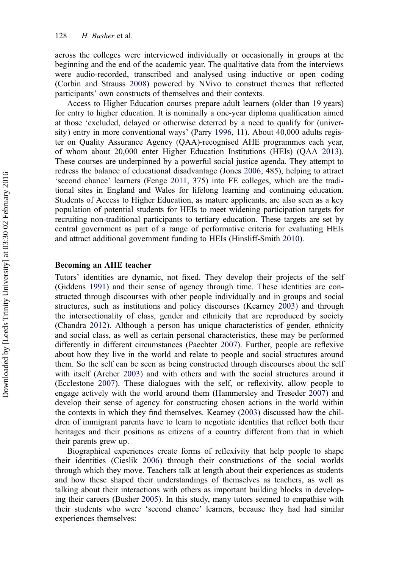across the colleges were interviewed individually or occasionally in groups at the beginning and the end of the academic year. The qualitative data from the interviews were audio-recorded, transcribed and analysed using inductive or open coding (Corbin and Strauss [2008](#page-12-0)) powered by NVivo to construct themes that reflected participants' own constructs of themselves and their contexts.

Access to Higher Education courses prepare adult learners (older than 19 years) for entry to higher education. It is nominally a one-year diploma qualification aimed at those 'excluded, delayed or otherwise deterred by a need to qualify for (university) entry in more conventional ways' (Parry [1996](#page-13-0), 11). About 40,000 adults register on Quality Assurance Agency (QAA)-recognised AHE programmes each year, of whom about 20,000 enter Higher Education Institutions (HEIs) (QAA [2013](#page-13-0)). These courses are underpinned by a powerful social justice agenda. They attempt to redress the balance of educational disadvantage (Jones [2006,](#page-13-0) 485), helping to attract 'second chance' learners (Fenge [2011,](#page-12-0) 375) into FE colleges, which are the traditional sites in England and Wales for lifelong learning and continuing education. Students of Access to Higher Education, as mature applicants, are also seen as a key population of potential students for HEIs to meet widening participation targets for recruiting non-traditional participants to tertiary education. These targets are set by central government as part of a range of performative criteria for evaluating HEIs and attract additional government funding to HEIs (Hinsliff-Smith [2010](#page-13-0)).

#### Becoming an AHE teacher

Tutors' identities are dynamic, not fixed. They develop their projects of the self (Giddens [1991](#page-12-0)) and their sense of agency through time. These identities are constructed through discourses with other people individually and in groups and social structures, such as institutions and policy discourses (Kearney [2003](#page-13-0)) and through the intersectionality of class, gender and ethnicity that are reproduced by society (Chandra [2012\)](#page-12-0). Although a person has unique characteristics of gender, ethnicity and social class, as well as certain personal characteristics, these may be performed differently in different circumstances (Paechter [2007\)](#page-13-0). Further, people are reflexive about how they live in the world and relate to people and social structures around them. So the self can be seen as being constructed through discourses about the self with itself (Archer [2003](#page-12-0)) and with others and with the social structures around it (Ecclestone [2007](#page-12-0)). These dialogues with the self, or reflexivity, allow people to engage actively with the world around them (Hammersley and Treseder [2007\)](#page-12-0) and develop their sense of agency for constructing chosen actions in the world within the contexts in which they find themselves. Kearney ([2003\)](#page-13-0) discussed how the children of immigrant parents have to learn to negotiate identities that reflect both their heritages and their positions as citizens of a country different from that in which their parents grew up.

Biographical experiences create forms of reflexivity that help people to shape their identities (Cieslik [2006](#page-12-0)) through their constructions of the social worlds through which they move. Teachers talk at length about their experiences as students and how these shaped their understandings of themselves as teachers, as well as talking about their interactions with others as important building blocks in developing their careers (Busher [2005\)](#page-12-0). In this study, many tutors seemed to empathise with their students who were 'second chance' learners, because they had had similar experiences themselves: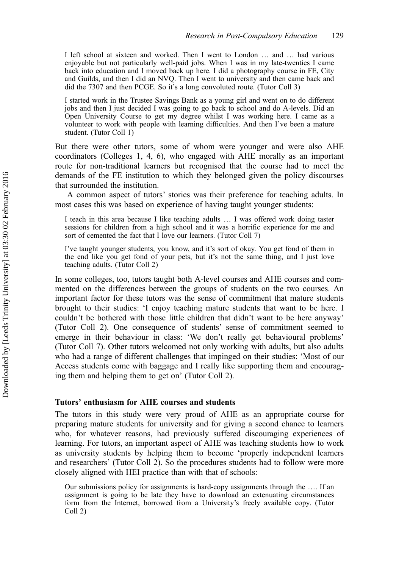I left school at sixteen and worked. Then I went to London … and … had various enjoyable but not particularly well-paid jobs. When I was in my late-twenties I came back into education and I moved back up here. I did a photography course in FE, City and Guilds, and then I did an NVQ. Then I went to university and then came back and did the 7307 and then PCGE. So it's a long convoluted route. (Tutor Coll 3)

I started work in the Trustee Savings Bank as a young girl and went on to do different jobs and then I just decided I was going to go back to school and do A-levels. Did an Open University Course to get my degree whilst I was working here. I came as a volunteer to work with people with learning difficulties. And then I've been a mature student. (Tutor Coll 1)

But there were other tutors, some of whom were younger and were also AHE coordinators (Colleges 1, 4, 6), who engaged with AHE morally as an important route for non-traditional learners but recognised that the course had to meet the demands of the FE institution to which they belonged given the policy discourses that surrounded the institution.

A common aspect of tutors' stories was their preference for teaching adults. In most cases this was based on experience of having taught younger students:

I teach in this area because I like teaching adults … I was offered work doing taster sessions for children from a high school and it was a horrific experience for me and sort of cemented the fact that I love our learners. (Tutor Coll 7)

I've taught younger students, you know, and it's sort of okay. You get fond of them in the end like you get fond of your pets, but it's not the same thing, and I just love teaching adults. (Tutor Coll 2)

In some colleges, too, tutors taught both A-level courses and AHE courses and commented on the differences between the groups of students on the two courses. An important factor for these tutors was the sense of commitment that mature students brought to their studies: 'I enjoy teaching mature students that want to be here. I couldn't be bothered with those little children that didn't want to be here anyway' (Tutor Coll 2). One consequence of students' sense of commitment seemed to emerge in their behaviour in class: 'We don't really get behavioural problems' (Tutor Coll 7). Other tutors welcomed not only working with adults, but also adults who had a range of different challenges that impinged on their studies: 'Most of our Access students come with baggage and I really like supporting them and encouraging them and helping them to get on' (Tutor Coll 2).

# Tutors' enthusiasm for AHE courses and students

The tutors in this study were very proud of AHE as an appropriate course for preparing mature students for university and for giving a second chance to learners who, for whatever reasons, had previously suffered discouraging experiences of learning. For tutors, an important aspect of AHE was teaching students how to work as university students by helping them to become 'properly independent learners and researchers' (Tutor Coll 2). So the procedures students had to follow were more closely aligned with HEI practice than with that of schools:

Our submissions policy for assignments is hard-copy assignments through the …. If an assignment is going to be late they have to download an extenuating circumstances form from the Internet, borrowed from a University's freely available copy. (Tutor Coll 2)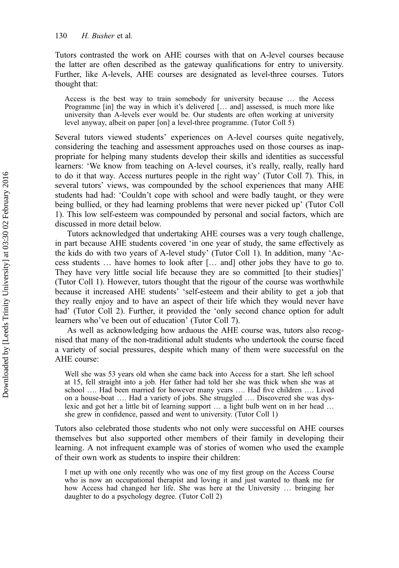Tutors contrasted the work on AHE courses with that on A-level courses because the latter are often described as the gateway qualifications for entry to university. Further, like A-levels, AHE courses are designated as level-three courses. Tutors thought that:

Access is the best way to train somebody for university because … the Access Programme [in] the way in which it's delivered [… and] assessed, is much more like university than A-levels ever would be. Our students are often working at university level anyway, albeit on paper [on] a level-three programme. (Tutor Coll 5)

Several tutors viewed students' experiences on A-level courses quite negatively, considering the teaching and assessment approaches used on those courses as inappropriate for helping many students develop their skills and identities as successful learners: 'We know from teaching on A-level courses, it's really, really, really hard to do it that way. Access nurtures people in the right way' (Tutor Coll 7). This, in several tutors' views, was compounded by the school experiences that many AHE students had had: 'Couldn't cope with school and were badly taught, or they were being bullied, or they had learning problems that were never picked up' (Tutor Coll 1). This low self-esteem was compounded by personal and social factors, which are discussed in more detail below.

Tutors acknowledged that undertaking AHE courses was a very tough challenge, in part because AHE students covered 'in one year of study, the same effectively as the kids do with two years of A-level study' (Tutor Coll 1). In addition, many 'Access students … have homes to look after [… and] other jobs they have to go to. They have very little social life because they are so committed [to their studies]' (Tutor Coll 1). However, tutors thought that the rigour of the course was worthwhile because it increased AHE students' 'self-esteem and their ability to get a job that they really enjoy and to have an aspect of their life which they would never have had' (Tutor Coll 2). Further, it provided the 'only second chance option for adult learners who've been out of education' (Tutor Coll 7).

As well as acknowledging how arduous the AHE course was, tutors also recognised that many of the non-traditional adult students who undertook the course faced a variety of social pressures, despite which many of them were successful on the AHE course:

Well she was 53 years old when she came back into Access for a start. She left school at 15, fell straight into a job. Her father had told her she was thick when she was at school …. Had been married for however many years …. Had five children …. Lived on a house-boat …. Had a variety of jobs. She struggled …. Discovered she was dyslexic and got her a little bit of learning support … a light bulb went on in her head … she grew in confidence, passed and went to university. (Tutor Coll 1)

Tutors also celebrated those students who not only were successful on AHE courses themselves but also supported other members of their family in developing their learning. A not infrequent example was of stories of women who used the example of their own work as students to inspire their children:

I met up with one only recently who was one of my first group on the Access Course who is now an occupational therapist and loving it and just wanted to thank me for how Access had changed her life. She was here at the University … bringing her daughter to do a psychology degree. (Tutor Coll 2)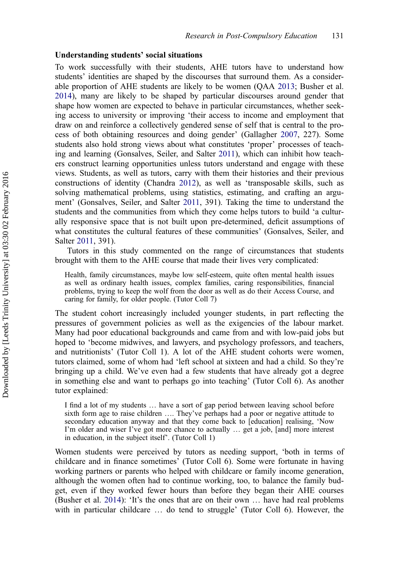# Understanding students' social situations

To work successfully with their students, AHE tutors have to understand how students' identities are shaped by the discourses that surround them. As a considerable proportion of AHE students are likely to be women (QAA [2013;](#page-13-0) Busher et al. [2014\)](#page-12-0), many are likely to be shaped by particular discourses around gender that shape how women are expected to behave in particular circumstances, whether seeking access to university or improving 'their access to income and employment that draw on and reinforce a collectively gendered sense of self that is central to the process of both obtaining resources and doing gender' (Gallagher [2007,](#page-12-0) 227). Some students also hold strong views about what constitutes 'proper' processes of teaching and learning (Gonsalves, Seiler, and Salter [2011\)](#page-12-0), which can inhibit how teachers construct learning opportunities unless tutors understand and engage with these views. Students, as well as tutors, carry with them their histories and their previous constructions of identity (Chandra [2012\)](#page-12-0), as well as 'transposable skills, such as solving mathematical problems, using statistics, estimating, and crafting an argument' (Gonsalves, Seiler, and Salter [2011](#page-12-0), 391). Taking the time to understand the students and the communities from which they come helps tutors to build 'a culturally responsive space that is not built upon pre-determined, deficit assumptions of what constitutes the cultural features of these communities' (Gonsalves, Seiler, and Salter [2011,](#page-12-0) 391).

Tutors in this study commented on the range of circumstances that students brought with them to the AHE course that made their lives very complicated:

Health, family circumstances, maybe low self-esteem, quite often mental health issues as well as ordinary health issues, complex families, caring responsibilities, financial problems, trying to keep the wolf from the door as well as do their Access Course, and caring for family, for older people. (Tutor Coll 7)

The student cohort increasingly included younger students, in part reflecting the pressures of government policies as well as the exigencies of the labour market. Many had poor educational backgrounds and came from and with low-paid jobs but hoped to 'become midwives, and lawyers, and psychology professors, and teachers, and nutritionists' (Tutor Coll 1). A lot of the AHE student cohorts were women, tutors claimed, some of whom had 'left school at sixteen and had a child. So they're bringing up a child. We've even had a few students that have already got a degree in something else and want to perhaps go into teaching' (Tutor Coll 6). As another tutor explained:

I find a lot of my students … have a sort of gap period between leaving school before sixth form age to raise children …. They've perhaps had a poor or negative attitude to secondary education anyway and that they come back to [education] realising, 'Now I'm older and wiser I've got more chance to actually … get a job, [and] more interest in education, in the subject itself'. (Tutor Coll 1)

Women students were perceived by tutors as needing support, 'both in terms of childcare and in finance sometimes' (Tutor Coll 6). Some were fortunate in having working partners or parents who helped with childcare or family income generation, although the women often had to continue working, too, to balance the family budget, even if they worked fewer hours than before they began their AHE courses (Busher et al. [2014\)](#page-12-0): 'It's the ones that are on their own … have had real problems with in particular childcare … do tend to struggle' (Tutor Coll 6). However, the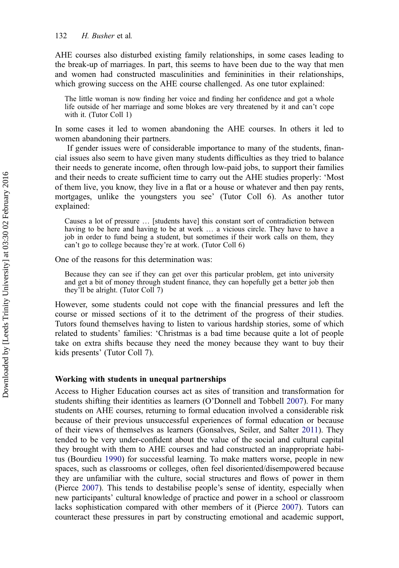AHE courses also disturbed existing family relationships, in some cases leading to the break-up of marriages. In part, this seems to have been due to the way that men and women had constructed masculinities and femininities in their relationships, which growing success on the AHE course challenged. As one tutor explained:

The little woman is now finding her voice and finding her confidence and got a whole life outside of her marriage and some blokes are very threatened by it and can't cope with it. (Tutor Coll 1)

In some cases it led to women abandoning the AHE courses. In others it led to women abandoning their partners.

If gender issues were of considerable importance to many of the students, financial issues also seem to have given many students difficulties as they tried to balance their needs to generate income, often through low-paid jobs, to support their families and their needs to create sufficient time to carry out the AHE studies properly: 'Most of them live, you know, they live in a flat or a house or whatever and then pay rents, mortgages, unlike the youngsters you see' (Tutor Coll 6). As another tutor explained:

Causes a lot of pressure … [students have] this constant sort of contradiction between having to be here and having to be at work ... a vicious circle. They have to have a job in order to fund being a student, but sometimes if their work calls on them, they can't go to college because they're at work. (Tutor Coll 6)

One of the reasons for this determination was:

Because they can see if they can get over this particular problem, get into university and get a bit of money through student finance, they can hopefully get a better job then they'll be alright. (Tutor Coll 7)

However, some students could not cope with the financial pressures and left the course or missed sections of it to the detriment of the progress of their studies. Tutors found themselves having to listen to various hardship stories, some of which related to students' families: 'Christmas is a bad time because quite a lot of people take on extra shifts because they need the money because they want to buy their kids presents' (Tutor Coll 7).

#### Working with students in unequal partnerships

Access to Higher Education courses act as sites of transition and transformation for students shifting their identities as learners (O'Donnell and Tobbell [2007](#page-13-0)). For many students on AHE courses, returning to formal education involved a considerable risk because of their previous unsuccessful experiences of formal education or because of their views of themselves as learners (Gonsalves, Seiler, and Salter [2011\)](#page-12-0). They tended to be very under-confident about the value of the social and cultural capital they brought with them to AHE courses and had constructed an inappropriate habitus (Bourdieu [1990](#page-12-0)) for successful learning. To make matters worse, people in new spaces, such as classrooms or colleges, often feel disoriented/disempowered because they are unfamiliar with the culture, social structures and flows of power in them (Pierce [2007](#page-13-0)). This tends to destabilise people's sense of identity, especially when new participants' cultural knowledge of practice and power in a school or classroom lacks sophistication compared with other members of it (Pierce [2007](#page-13-0)). Tutors can counteract these pressures in part by constructing emotional and academic support,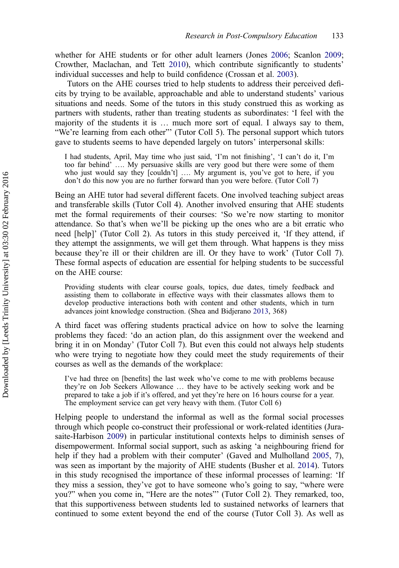whether for AHE students or for other adult learners (Jones [2006](#page-13-0); Scanlon [2009](#page-13-0); Crowther, Maclachan, and Tett [2010\)](#page-12-0), which contribute significantly to students' individual successes and help to build confidence (Crossan et al. [2003](#page-12-0)).

Tutors on the AHE courses tried to help students to address their perceived deficits by trying to be available, approachable and able to understand students' various situations and needs. Some of the tutors in this study construed this as working as partners with students, rather than treating students as subordinates: 'I feel with the majority of the students it is … much more sort of equal. I always say to them, "We're learning from each other"' (Tutor Coll 5). The personal support which tutors gave to students seems to have depended largely on tutors' interpersonal skills:

I had students, April, May time who just said, 'I'm not finishing', 'I can't do it, I'm too far behind' …. My persuasive skills are very good but there were some of them who just would say they [couldn't] .... My argument is, you've got to here, if you don't do this now you are no further forward than you were before. (Tutor Coll 7)

Being an AHE tutor had several different facets. One involved teaching subject areas and transferable skills (Tutor Coll 4). Another involved ensuring that AHE students met the formal requirements of their courses: 'So we're now starting to monitor attendance. So that's when we'll be picking up the ones who are a bit erratic who need [help]' (Tutor Coll 2). As tutors in this study perceived it, 'If they attend, if they attempt the assignments, we will get them through. What happens is they miss because they're ill or their children are ill. Or they have to work' (Tutor Coll 7). These formal aspects of education are essential for helping students to be successful on the AHE course:

Providing students with clear course goals, topics, due dates, timely feedback and assisting them to collaborate in effective ways with their classmates allows them to develop productive interactions both with content and other students, which in turn advances joint knowledge construction. (Shea and Bidjerano [2013](#page-13-0), 368)

A third facet was offering students practical advice on how to solve the learning problems they faced: 'do an action plan, do this assignment over the weekend and bring it in on Monday' (Tutor Coll 7). But even this could not always help students who were trying to negotiate how they could meet the study requirements of their courses as well as the demands of the workplace:

I've had three on [benefits] the last week who've come to me with problems because they're on Job Seekers Allowance … they have to be actively seeking work and be prepared to take a job if it's offered, and yet they're here on 16 hours course for a year. The employment service can get very heavy with them. (Tutor Coll 6)

Helping people to understand the informal as well as the formal social processes through which people co-construct their professional or work-related identities (Jurasaite-Harbison [2009](#page-13-0)) in particular institutional contexts helps to diminish senses of disempowerment. Informal social support, such as asking 'a neighbouring friend for help if they had a problem with their computer' (Gaved and Mulholland [2005](#page-12-0), 7), was seen as important by the majority of AHE students (Busher et al. [2014](#page-12-0)). Tutors in this study recognised the importance of these informal processes of learning: 'If they miss a session, they've got to have someone who's going to say, "where were you?" when you come in, "Here are the notes"' (Tutor Coll 2). They remarked, too, that this supportiveness between students led to sustained networks of learners that continued to some extent beyond the end of the course (Tutor Coll 3). As well as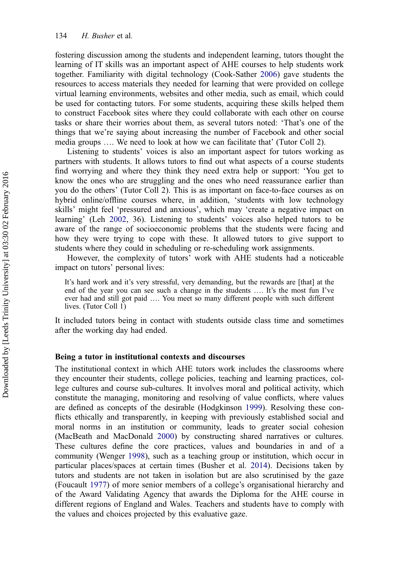fostering discussion among the students and independent learning, tutors thought the learning of IT skills was an important aspect of AHE courses to help students work together. Familiarity with digital technology (Cook-Sather [2006\)](#page-12-0) gave students the resources to access materials they needed for learning that were provided on college virtual learning environments, websites and other media, such as email, which could be used for contacting tutors. For some students, acquiring these skills helped them to construct Facebook sites where they could collaborate with each other on course tasks or share their worries about them, as several tutors noted: 'That's one of the things that we're saying about increasing the number of Facebook and other social media groups …. We need to look at how we can facilitate that' (Tutor Coll 2).

Listening to students' voices is also an important aspect for tutors working as partners with students. It allows tutors to find out what aspects of a course students find worrying and where they think they need extra help or support: 'You get to know the ones who are struggling and the ones who need reassurance earlier than you do the others' (Tutor Coll 2). This is as important on face-to-face courses as on hybrid online/offline courses where, in addition, 'students with low technology skills' might feel 'pressured and anxious', which may 'create a negative impact on learning' (Leh [2002](#page-13-0), 36). Listening to students' voices also helped tutors to be aware of the range of socioeconomic problems that the students were facing and how they were trying to cope with these. It allowed tutors to give support to students where they could in scheduling or re-scheduling work assignments.

However, the complexity of tutors' work with AHE students had a noticeable impact on tutors' personal lives:

It's hard work and it's very stressful, very demanding, but the rewards are [that] at the end of the year you can see such a change in the students …. It's the most fun I've ever had and still got paid …. You meet so many different people with such different lives. (Tutor Coll 1)

It included tutors being in contact with students outside class time and sometimes after the working day had ended.

## Being a tutor in institutional contexts and discourses

The institutional context in which AHE tutors work includes the classrooms where they encounter their students, college policies, teaching and learning practices, college cultures and course sub-cultures. It involves moral and political activity, which constitute the managing, monitoring and resolving of value conflicts, where values are defined as concepts of the desirable (Hodgkinson [1999](#page-13-0)). Resolving these conflicts ethically and transparently, in keeping with previously established social and moral norms in an institution or community, leads to greater social cohesion (MacBeath and MacDonald [2000](#page-13-0)) by constructing shared narratives or cultures. These cultures define the core practices, values and boundaries in and of a community (Wenger [1998](#page-13-0)), such as a teaching group or institution, which occur in particular places/spaces at certain times (Busher et al. [2014\)](#page-12-0). Decisions taken by tutors and students are not taken in isolation but are also scrutinised by the gaze (Foucault [1977\)](#page-12-0) of more senior members of a college's organisational hierarchy and of the Award Validating Agency that awards the Diploma for the AHE course in different regions of England and Wales. Teachers and students have to comply with the values and choices projected by this evaluative gaze.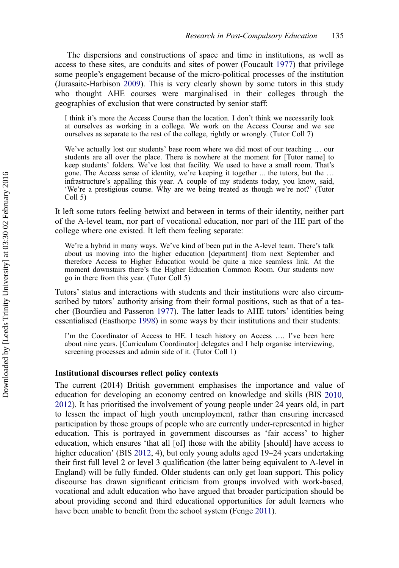The dispersions and constructions of space and time in institutions, as well as access to these sites, are conduits and sites of power (Foucault [1977](#page-12-0)) that privilege some people's engagement because of the micro-political processes of the institution (Jurasaite-Harbison [2009\)](#page-13-0). This is very clearly shown by some tutors in this study who thought AHE courses were marginalised in their colleges through the geographies of exclusion that were constructed by senior staff:

I think it's more the Access Course than the location. I don't think we necessarily look at ourselves as working in a college. We work on the Access Course and we see ourselves as separate to the rest of the college, rightly or wrongly. (Tutor Coll 7)

We've actually lost our students' base room where we did most of our teaching ... our students are all over the place. There is nowhere at the moment for [Tutor name] to keep students' folders. We've lost that facility. We used to have a small room. That's gone. The Access sense of identity, we're keeping it together ... the tutors, but the … infrastructure's appalling this year. A couple of my students today, you know, said, 'We're a prestigious course. Why are we being treated as though we're not?' (Tutor Coll 5)

It left some tutors feeling betwixt and between in terms of their identity, neither part of the A-level team, nor part of vocational education, nor part of the HE part of the college where one existed. It left them feeling separate:

We're a hybrid in many ways. We've kind of been put in the A-level team. There's talk about us moving into the higher education [department] from next September and therefore Access to Higher Education would be quite a nice seamless link. At the moment downstairs there's the Higher Education Common Room. Our students now go in there from this year. (Tutor Coll 5)

Tutors' status and interactions with students and their institutions were also circumscribed by tutors' authority arising from their formal positions, such as that of a teacher (Bourdieu and Passeron [1977\)](#page-12-0). The latter leads to AHE tutors' identities being essentialised (Easthorpe [1998](#page-12-0)) in some ways by their institutions and their students:

I'm the Coordinator of Access to HE. I teach history on Access …. I've been here about nine years. [Curriculum Coordinator] delegates and I help organise interviewing, screening processes and admin side of it. (Tutor Coll 1)

# Institutional discourses reflect policy contexts

The current (2014) British government emphasises the importance and value of education for developing an economy centred on knowledge and skills (BIS [2010,](#page-12-0) [2012\)](#page-12-0). It has prioritised the involvement of young people under 24 years old, in part to lessen the impact of high youth unemployment, rather than ensuring increased participation by those groups of people who are currently under-represented in higher education. This is portrayed in government discourses as 'fair access' to higher education, which ensures 'that all [of] those with the ability [should] have access to higher education' (BIS [2012,](#page-12-0) 4), but only young adults aged 19–24 years undertaking their first full level 2 or level 3 qualification (the latter being equivalent to A-level in England) will be fully funded. Older students can only get loan support. This policy discourse has drawn significant criticism from groups involved with work-based, vocational and adult education who have argued that broader participation should be about providing second and third educational opportunities for adult learners who have been unable to benefit from the school system (Fenge [2011](#page-12-0)).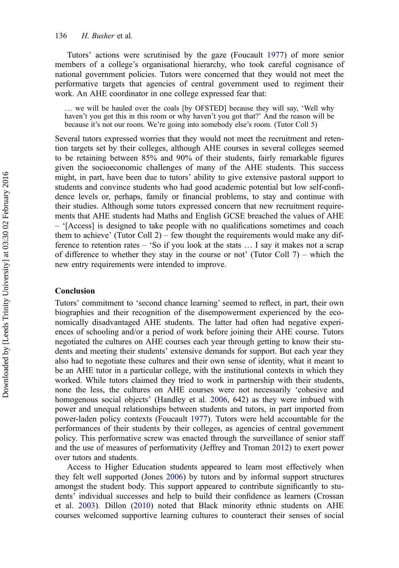Tutors' actions were scrutinised by the gaze (Foucault [1977](#page-12-0)) of more senior members of a college's organisational hierarchy, who took careful cognisance of national government policies. Tutors were concerned that they would not meet the performative targets that agencies of central government used to regiment their work. An AHE coordinator in one college expressed fear that:

… we will be hauled over the coals [by OFSTED] because they will say, 'Well why haven't you got this in this room or why haven't you got that?' And the reason will be because it's not our room. We're going into somebody else's room. (Tutor Coll 5)

Several tutors expressed worries that they would not meet the recruitment and retention targets set by their colleges, although AHE courses in several colleges seemed to be retaining between 85% and 90% of their students, fairly remarkable figures given the socioeconomic challenges of many of the AHE students. This success might, in part, have been due to tutors' ability to give extensive pastoral support to students and convince students who had good academic potential but low self-confidence levels or, perhaps, family or financial problems, to stay and continue with their studies. Although some tutors expressed concern that new recruitment requirements that AHE students had Maths and English GCSE breached the values of AHE – '[Access] is designed to take people with no qualifications sometimes and coach them to achieve' (Tutor Coll 2) – few thought the requirements would make any difference to retention rates – 'So if you look at the stats … I say it makes not a scrap of difference to whether they stay in the course or not' (Tutor Coll 7) – which the new entry requirements were intended to improve.

#### Conclusion

Tutors' commitment to 'second chance learning' seemed to reflect, in part, their own biographies and their recognition of the disempowerment experienced by the economically disadvantaged AHE students. The latter had often had negative experiences of schooling and/or a period of work before joining their AHE course. Tutors negotiated the cultures on AHE courses each year through getting to know their students and meeting their students' extensive demands for support. But each year they also had to negotiate these cultures and their own sense of identity, what it meant to be an AHE tutor in a particular college, with the institutional contexts in which they worked. While tutors claimed they tried to work in partnership with their students, none the less, the cultures on AHE courses were not necessarily 'cohesive and homogenous social objects' (Handley et al. [2006](#page-13-0), 642) as they were imbued with power and unequal relationships between students and tutors, in part imported from power-laden policy contexts (Foucault [1977\)](#page-12-0). Tutors were held accountable for the performances of their students by their colleges, as agencies of central government policy. This performative screw was enacted through the surveillance of senior staff and the use of measures of performativity (Jeffrey and Troman [2012](#page-13-0)) to exert power over tutors and students.

Access to Higher Education students appeared to learn most effectively when they felt well supported (Jones [2006](#page-13-0)) by tutors and by informal support structures amongst the student body. This support appeared to contribute significantly to students' individual successes and help to build their confidence as learners (Crossan et al. [2003\)](#page-12-0). Dillon [\(2010](#page-12-0)) noted that Black minority ethnic students on AHE courses welcomed supportive learning cultures to counteract their senses of social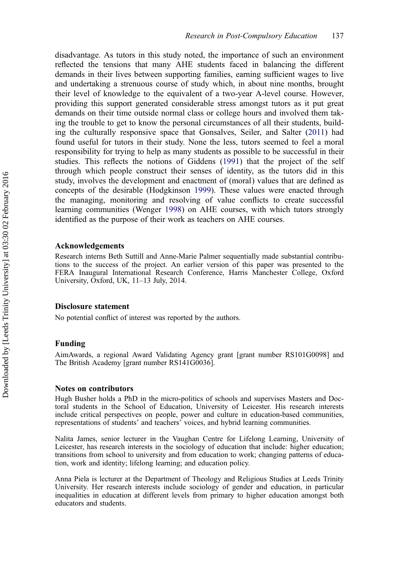disadvantage. As tutors in this study noted, the importance of such an environment reflected the tensions that many AHE students faced in balancing the different demands in their lives between supporting families, earning sufficient wages to live and undertaking a strenuous course of study which, in about nine months, brought their level of knowledge to the equivalent of a two-year A-level course. However, providing this support generated considerable stress amongst tutors as it put great demands on their time outside normal class or college hours and involved them taking the trouble to get to know the personal circumstances of all their students, building the culturally responsive space that Gonsalves, Seiler, and Salter [\(2011\)](#page-12-0) had found useful for tutors in their study. None the less, tutors seemed to feel a moral responsibility for trying to help as many students as possible to be successful in their studies. This reflects the notions of Giddens [\(1991](#page-12-0)) that the project of the self through which people construct their senses of identity, as the tutors did in this study, involves the development and enactment of (moral) values that are defined as concepts of the desirable (Hodgkinson [1999](#page-13-0)). These values were enacted through the managing, monitoring and resolving of value conflicts to create successful learning communities (Wenger [1998\)](#page-13-0) on AHE courses, with which tutors strongly identified as the purpose of their work as teachers on AHE courses.

### Acknowledgements

Research interns Beth Suttill and Anne-Marie Palmer sequentially made substantial contributions to the success of the project. An earlier version of this paper was presented to the FERA Inaugural International Research Conference, Harris Manchester College, Oxford University, Oxford, UK, 11–13 July, 2014.

## Disclosure statement

No potential conflict of interest was reported by the authors.

## Funding

AimAwards, a regional Award Validating Agency grant [grant number RS101G0098] and The British Academy [grant number RS141G0036].

#### Notes on contributors

Hugh Busher holds a PhD in the micro-politics of schools and supervises Masters and Doctoral students in the School of Education, University of Leicester. His research interests include critical perspectives on people, power and culture in education-based communities, representations of students' and teachers' voices, and hybrid learning communities.

Nalita James, senior lecturer in the Vaughan Centre for Lifelong Learning, University of Leicester, has research interests in the sociology of education that include: higher education; transitions from school to university and from education to work; changing patterns of education, work and identity; lifelong learning; and education policy.

Anna Piela is lecturer at the Department of Theology and Religious Studies at Leeds Trinity University. Her research interests include sociology of gender and education, in particular inequalities in education at different levels from primary to higher education amongst both educators and students.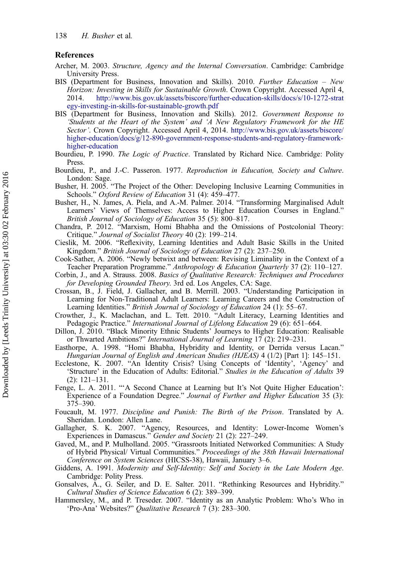### <span id="page-12-0"></span>References

- Archer, M. 2003. Structure, Agency and the Internal Conversation. Cambridge: Cambridge University Press.
- BIS (Department for Business, Innovation and Skills). 2010. Further Education New Horizon: Investing in Skills for Sustainable Growth. Crown Copyright. Accessed April 4, 2014. [http://www.bis.gov.uk/assets/biscore/further-education-skills/docs/s/10-1272-strat](http://www.bis.gov.uk/assets/biscore/further-education-skills/docs/s/10-1272-strategy-investing-in-skills-for-sustainable-growth.pdf) [egy-investing-in-skills-for-sustainable-growth.pdf](http://www.bis.gov.uk/assets/biscore/further-education-skills/docs/s/10-1272-strategy-investing-in-skills-for-sustainable-growth.pdf)
- BIS (Department for Business, Innovation and Skills). 2012. Government Response to 'Students at the Heart of the System' and 'A New Regulatory Framework for the HE Sector'. Crown Copyright. Accessed April 4, 2014. [http://www.bis.gov.uk/assets/biscore/](http://www.bis.gov.uk/assets/biscore/higher-education/docs/g/12-890-government-response-students-and-regulatory-framework-higher-education) [higher-education/docs/g/12-890-government-response-students-and-regulatory-framework](http://www.bis.gov.uk/assets/biscore/higher-education/docs/g/12-890-government-response-students-and-regulatory-framework-higher-education)[higher-education](http://www.bis.gov.uk/assets/biscore/higher-education/docs/g/12-890-government-response-students-and-regulatory-framework-higher-education)
- Bourdieu, P. 1990. The Logic of Practice. Translated by Richard Nice. Cambridge: Polity Press.
- Bourdieu, P., and J.-C. Passeron. 1977. Reproduction in Education, Society and Culture. London: Sage.
- Busher, H. 2005. "The Project of the Other: Developing Inclusive Learning Communities in Schools." Oxford Review of Education 31 (4): 459–477.
- Busher, H., N. James, A. Piela, and A.-M. Palmer. 2014. "Transforming Marginalised Adult Learners' Views of Themselves: Access to Higher Education Courses in England." British Journal of Sociology of Education 35 (5): 800–817.
- Chandra, P. 2012. "Marxism, Homi Bhabha and the Omissions of Postcolonial Theory: Critique." Journal of Socialist Theory 40 (2): 199–214.
- Cieslik, M. 2006. "Reflexivity, Learning Identities and Adult Basic Skills in the United Kingdom." British Journal of Sociology of Education 27 (2): 237–250.
- Cook-Sather, A. 2006. "Newly betwixt and between: Revising Liminality in the Context of a Teacher Preparation Programme." Anthropology & Education Quarterly 37 (2): 110-127.
- Corbin, J., and A. Strauss. 2008. Basics of Qualitative Research: Techniques and Procedures for Developing Grounded Theory. 3rd ed. Los Angeles, CA: Sage.
- Crossan, B., J. Field, J. Gallacher, and B. Merrill. 2003. "Understanding Participation in Learning for Non-Traditional Adult Learners: Learning Careers and the Construction of Learning Identities." British Journal of Sociology of Education 24 (1): 55–67.
- Crowther, J., K. Maclachan, and L. Tett. 2010. "Adult Literacy, Learning Identities and Pedagogic Practice." International Journal of Lifelong Education 29 (6): 651–664.
- Dillon, J. 2010. "Black Minority Ethnic Students' Journeys to Higher Education: Realisable or Thwarted Ambitions?" International Journal of Learning 17 (2): 219–231.
- Easthorpe, A. 1998. "Homi Bhabha, Hybridity and Identity, or Derrida versus Lacan." Hungarian Journal of English and American Studies (HJEAS) 4 (1/2) [Part 1]: 145–151.
- Ecclestone, K. 2007. "An Identity Crisis? Using Concepts of 'Identity', 'Agency' and 'Structure' in the Education of Adults: Editorial." Studies in the Education of Adults 39 (2): 121–131.
- Fenge, L. A. 2011. "'A Second Chance at Learning but It's Not Quite Higher Education': Experience of a Foundation Degree." Journal of Further and Higher Education 35 (3): 375–390.
- Foucault, M. 1977. Discipline and Punish: The Birth of the Prison. Translated by A. Sheridan. London: Allen Lane.

Gallagher, S. K. 2007. "Agency, Resources, and Identity: Lower-Income Women's Experiences in Damascus." Gender and Society 21 (2): 227–249.

- Gaved, M., and P. Mulholland. 2005. "Grassroots Initiated Networked Communities: A Study of Hybrid Physical/ Virtual Communities." Proceedings of the 38th Hawaii International Conference on System Sciences (HICSS-38), Hawaii, January 3–6.
- Giddens, A. 1991. Modernity and Self-Identity: Self and Society in the Late Modern Age. Cambridge: Polity Press.
- Gonsalves, A., G. Seiler, and D. E. Salter. 2011. "Rethinking Resources and Hybridity." Cultural Studies of Science Education 6 (2): 389–399.
- Hammersley, M., and P. Treseder. 2007. "Identity as an Analytic Problem: Who's Who in 'Pro-Ana' Websites?" Qualitative Research 7 (3): 283–300.